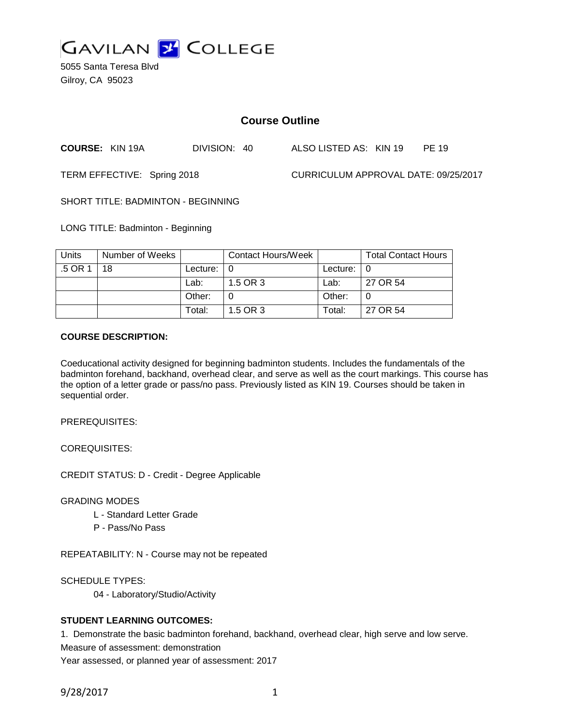

5055 Santa Teresa Blvd Gilroy, CA 95023

# **Course Outline**

**COURSE:** KIN 19A DIVISION: 40 ALSO LISTED AS: KIN 19 PE 19

TERM EFFECTIVE: Spring 2018 CURRICULUM APPROVAL DATE: 09/25/2017

SHORT TITLE: BADMINTON - BEGINNING

LONG TITLE: Badminton - Beginning

| <b>Units</b> | Number of Weeks |                            | Contact Hours/Week |                    | <b>Total Contact Hours</b> |
|--------------|-----------------|----------------------------|--------------------|--------------------|----------------------------|
| .5 OR 1      | 18              | Lecture: $\vert 0 \rangle$ |                    | Lecture: $\vert$ 0 |                            |
|              |                 | Lab:                       | 1.5 OR 3           | Lab:               | 27 OR 54                   |
|              |                 | Other:                     |                    | Other:             |                            |
|              |                 | Total:                     | 1.5 OR 3           | Total:             | 27 OR 54                   |

### **COURSE DESCRIPTION:**

Coeducational activity designed for beginning badminton students. Includes the fundamentals of the badminton forehand, backhand, overhead clear, and serve as well as the court markings. This course has the option of a letter grade or pass/no pass. Previously listed as KIN 19. Courses should be taken in sequential order.

PREREQUISITES:

COREQUISITES:

CREDIT STATUS: D - Credit - Degree Applicable

GRADING MODES

- L Standard Letter Grade
- P Pass/No Pass

REPEATABILITY: N - Course may not be repeated

SCHEDULE TYPES:

04 - Laboratory/Studio/Activity

## **STUDENT LEARNING OUTCOMES:**

1. Demonstrate the basic badminton forehand, backhand, overhead clear, high serve and low serve.

Measure of assessment: demonstration

Year assessed, or planned year of assessment: 2017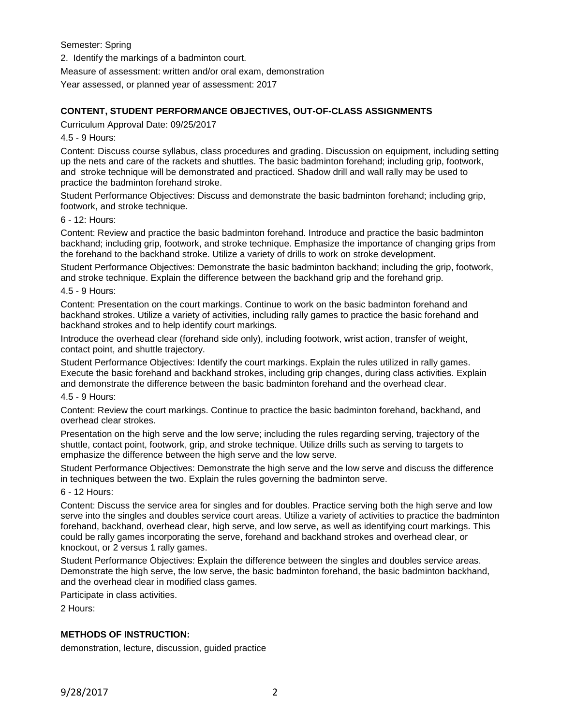Semester: Spring

2. Identify the markings of a badminton court.

Measure of assessment: written and/or oral exam, demonstration

Year assessed, or planned year of assessment: 2017

## **CONTENT, STUDENT PERFORMANCE OBJECTIVES, OUT-OF-CLASS ASSIGNMENTS**

Curriculum Approval Date: 09/25/2017

4.5 - 9 Hours:

Content: Discuss course syllabus, class procedures and grading. Discussion on equipment, including setting up the nets and care of the rackets and shuttles. The basic badminton forehand; including grip, footwork, and stroke technique will be demonstrated and practiced. Shadow drill and wall rally may be used to practice the badminton forehand stroke.

Student Performance Objectives: Discuss and demonstrate the basic badminton forehand; including grip, footwork, and stroke technique.

#### 6 - 12: Hours:

Content: Review and practice the basic badminton forehand. Introduce and practice the basic badminton backhand; including grip, footwork, and stroke technique. Emphasize the importance of changing grips from the forehand to the backhand stroke. Utilize a variety of drills to work on stroke development.

Student Performance Objectives: Demonstrate the basic badminton backhand; including the grip, footwork, and stroke technique. Explain the difference between the backhand grip and the forehand grip.

#### 4.5 - 9 Hours:

Content: Presentation on the court markings. Continue to work on the basic badminton forehand and backhand strokes. Utilize a variety of activities, including rally games to practice the basic forehand and backhand strokes and to help identify court markings.

Introduce the overhead clear (forehand side only), including footwork, wrist action, transfer of weight, contact point, and shuttle trajectory.

Student Performance Objectives: Identify the court markings. Explain the rules utilized in rally games. Execute the basic forehand and backhand strokes, including grip changes, during class activities. Explain and demonstrate the difference between the basic badminton forehand and the overhead clear.

#### 4.5 - 9 Hours:

Content: Review the court markings. Continue to practice the basic badminton forehand, backhand, and overhead clear strokes.

Presentation on the high serve and the low serve; including the rules regarding serving, trajectory of the shuttle, contact point, footwork, grip, and stroke technique. Utilize drills such as serving to targets to emphasize the difference between the high serve and the low serve.

Student Performance Objectives: Demonstrate the high serve and the low serve and discuss the difference in techniques between the two. Explain the rules governing the badminton serve.

#### 6 - 12 Hours:

Content: Discuss the service area for singles and for doubles. Practice serving both the high serve and low serve into the singles and doubles service court areas. Utilize a variety of activities to practice the badminton forehand, backhand, overhead clear, high serve, and low serve, as well as identifying court markings. This could be rally games incorporating the serve, forehand and backhand strokes and overhead clear, or knockout, or 2 versus 1 rally games.

Student Performance Objectives: Explain the difference between the singles and doubles service areas. Demonstrate the high serve, the low serve, the basic badminton forehand, the basic badminton backhand, and the overhead clear in modified class games.

Participate in class activities.

2 Hours:

## **METHODS OF INSTRUCTION:**

demonstration, lecture, discussion, guided practice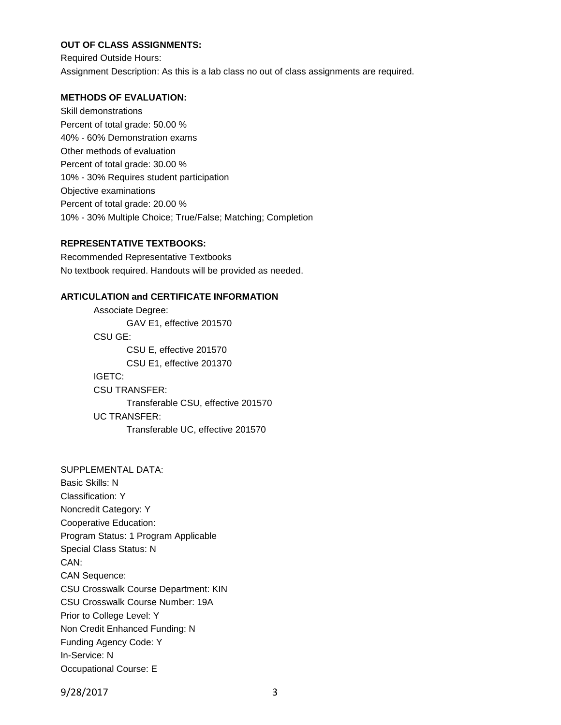# **OUT OF CLASS ASSIGNMENTS:**

Required Outside Hours: Assignment Description: As this is a lab class no out of class assignments are required.

## **METHODS OF EVALUATION:**

Skill demonstrations Percent of total grade: 50.00 % 40% - 60% Demonstration exams Other methods of evaluation Percent of total grade: 30.00 % 10% - 30% Requires student participation Objective examinations Percent of total grade: 20.00 % 10% - 30% Multiple Choice; True/False; Matching; Completion

### **REPRESENTATIVE TEXTBOOKS:**

Recommended Representative Textbooks No textbook required. Handouts will be provided as needed.

## **ARTICULATION and CERTIFICATE INFORMATION**

Associate Degree: GAV E1, effective 201570 CSU GE: CSU E, effective 201570 CSU E1, effective 201370 IGETC: CSU TRANSFER: Transferable CSU, effective 201570 UC TRANSFER: Transferable UC, effective 201570

SUPPLEMENTAL DATA: Basic Skills: N Classification: Y Noncredit Category: Y Cooperative Education: Program Status: 1 Program Applicable Special Class Status: N CAN: CAN Sequence: CSU Crosswalk Course Department: KIN CSU Crosswalk Course Number: 19A Prior to College Level: Y Non Credit Enhanced Funding: N Funding Agency Code: Y In-Service: N Occupational Course: E

9/28/2017 3